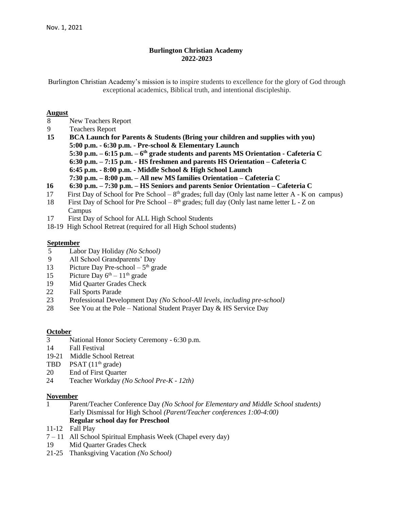#### **Burlington Christian Academy 2022-2023**

Burlington Christian Academy's mission is to inspire students to excellence for the glory of God through exceptional academics, Biblical truth, and intentional discipleship.

#### **August**

- 8 New Teachers Report
- 9 Teachers Report
- **15 BCA Launch for Parents & Students (Bring your children and supplies with you) 5:00 p.m. - 6:30 p.m. - Pre-school & Elementary Launch 5:30 p.m. – 6:15 p.m. – 6 th grade students and parents MS Orientation - Cafeteria C 6:30 p.m. – 7:15 p.m. - HS freshmen and parents HS Orientation – Cafeteria C 6:45 p.m. - 8:00 p.m. - Middle School & High School Launch**
	- **7:30 p.m. – 8:00 p.m. – All new MS families Orientation – Cafeteria C**
- **16 6:30 p.m. – 7:30 p.m. – HS Seniors and parents Senior Orientation – Cafeteria C**
- 17 First Day of School for Pre School  $8<sup>th</sup>$  grades; full day (Only last name letter A K on campus)
- 18 First Day of School for Pre School  $8<sup>th</sup>$  grades; full day (Only last name letter L Z on Campus
- 17 First Day of School for ALL High School Students
- 18-19 High School Retreat (required for all High School students)

#### **September**

- 5 Labor Day Holiday *(No School)*
- 9 All School Grandparents' Day
- 13 Picture Day Pre-school  $-5<sup>th</sup>$  grade
- 15 Picture Day  $6^{th} 11^{th}$  grade
- 19 Mid Quarter Grades Check
- 22 Fall Sports Parade
- 23 Professional Development Day *(No School-All levels, including pre-school)*
- 28 See You at the Pole National Student Prayer Day  $\&$  HS Service Day

#### **October**

- 3 National Honor Society Ceremony 6:30 p.m.
- 14 Fall Festival
- 19-21 Middle School Retreat
- TBD PSAT  $(11<sup>th</sup> \text{ grade})$
- 20 End of First Quarter
- 24 Teacher Workday *(No School Pre-K - 12th)*

#### **November**

- 1 Parent/Teacher Conference Day *(No School for Elementary and Middle School students)* Early Dismissal for High School *(Parent/Teacher conferences 1:00-4:00)* **Regular school day for Preschool**
- 11-12 Fall Play
- 7 11 All School Spiritual Emphasis Week (Chapel every day)
- 19 Mid Quarter Grades Check
- 21-25 Thanksgiving Vacation *(No School)*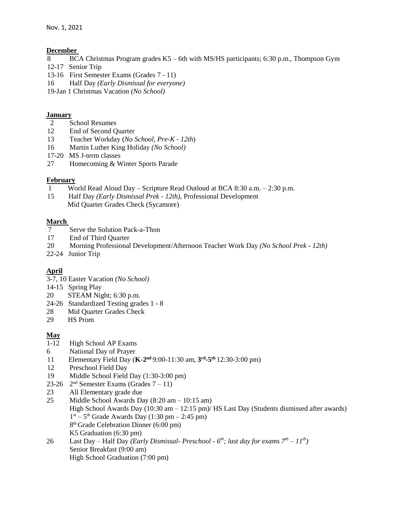### **December**

- 8 BCA Christmas Program grades K5 6th with MS/HS participants; 6:30 p.m., Thompson Gym
- 12-17 Senior Trip
- 13-16 First Semester Exams (Grades 7 11)
- 16 Half Day *(Early Dismissal for everyone)*
- 19-Jan 1 Christmas Vacation *(No School)*

## **January**

- 2 School Resumes
- 12 End of Second Quarter
- 13 Teacher Workday (*No School, Pre-K - 12th*)
- 16 Martin Luther King Holiday *(No School)*
- 17-20 MS J-term classes
- 27 Homecoming & Winter Sports Parade

# **February**

- 1 World Read Aloud Day Scripture Read Outloud at BCA 8:30 a.m. 2:30 p.m.
- 15 Half Day *(Early Dismissal Prek - 12th)*, Professional Development Mid Quarter Grades Check (Sycamore)

# **March**

- 7 Serve the Solution Pack-a-Thon<br>17 End of Third Ouarter
- End of Third Quarter
- 20 Morning Professional Development/Afternoon Teacher Work Day *(No School Prek - 12th)*
- 22-24 Junior Trip

# **April**

- 3-7, 10 Easter Vacation *(No School)*
- 14-15 Spring Play
- 20 STEAM Night; 6:30 p.m.
- 24-26 Standardized Testing grades 1 8
- 28 Mid Quarter Grades Check
- 29 HS Prom

# **May**

- 1-12 High School AP Exams
- 6 National Day of Prayer
- 11 Elementary Field Day (**K-2 nd** 9:00-11:30 am, **3 rd -5 th** 12:30-3:00 pm)
- 12 Preschool Field Day
- 19 Middle School Field Day (1:30-3:00 pm)
- 23-26  $2<sup>nd</sup>$  Semester Exams (Grades  $7-11$ )
- 23 All Elementary grade due
- 25 Middle School Awards Day (8:20 am 10:15 am) High School Awards Day (10:30 am – 12:15 pm)/ HS Last Day (Students dismissed after awards)  $1<sup>st</sup> - 5<sup>th</sup>$  Grade Awards Day (1:30 pm – 2:45 pm) 8 th Grade Celebration Dinner (6:00 pm) K5 Graduation (6:30 pm)
- 26 Last Day Half Day *(Early Dismissal- Preschool - 6 th; last day for exams 7th – 11th)* Senior Breakfast (9:00 am) High School Graduation (7:00 pm)